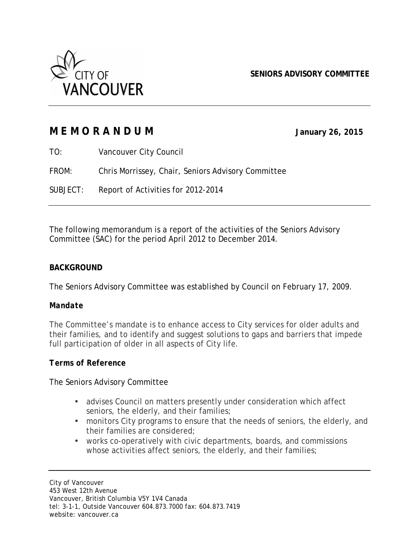

**SENIORS ADVISORY COMMITTEE**

|          | MEMORANDUM                                         | January 26, 2015 |
|----------|----------------------------------------------------|------------------|
| TO:      | Vancouver City Council                             |                  |
| FROM:    | Chris Morrissey, Chair, Seniors Advisory Committee |                  |
| SUBJECT: | Report of Activities for 2012-2014                 |                  |

The following memorandum is a report of the activities of the Seniors Advisory Committee (SAC) for the period April 2012 to December 2014.

### **BACKGROUND**

The Seniors Advisory Committee was established by Council on February 17, 2009.

#### *Mandate*

The Committee's mandate is to enhance access to City services for older adults and their families, and to identify and suggest solutions to gaps and barriers that impede full participation of older in all aspects of City life.

#### *Terms of Reference*

#### The Seniors Advisory Committee

- advises Council on matters presently under consideration which affect seniors, the elderly, and their families;
- monitors City programs to ensure that the needs of seniors, the elderly, and their families are considered;
- works co-operatively with civic departments, boards, and commissions whose activities affect seniors, the elderly, and their families;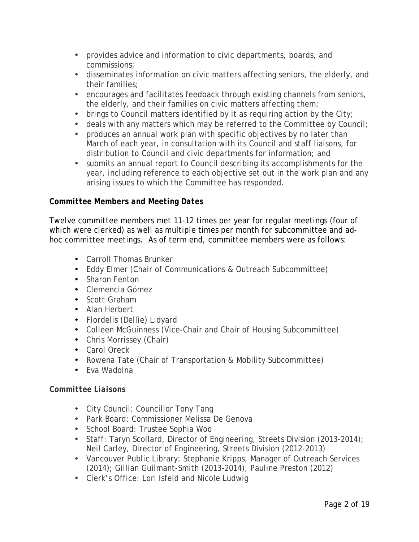- provides advice and information to civic departments, boards, and commissions;
- disseminates information on civic matters affecting seniors, the elderly, and their families;
- encourages and facilitates feedback through existing channels from seniors, the elderly, and their families on civic matters affecting them;
- brings to Council matters identified by it as requiring action by the City;
- deals with any matters which may be referred to the Committee by Council;
- produces an annual work plan with specific objectives by no later than March of each year, in consultation with its Council and staff liaisons, for distribution to Council and civic departments for information; and
- submits an annual report to Council describing its accomplishments for the year, including reference to each objective set out in the work plan and any arising issues to which the Committee has responded.

# *Committee Members and Meeting Dates*

Twelve committee members met 11-12 times per year for regular meetings (four of which were clerked) as well as multiple times per month for subcommittee and adhoc committee meetings. As of term end, committee members were as follows:

- Carroll Thomas Brunker
- Eddy Elmer (Chair of Communications & Outreach Subcommittee)
- Sharon Fenton
- Clemencia Gómez
- Scott Graham
- Alan Herbert
- Flordelis (Dellie) Lidyard
- Colleen McGuinness (Vice-Chair and Chair of Housing Subcommittee)
- Chris Morrissey (Chair)
- Carol Oreck
- Rowena Tate (Chair of Transportation & Mobility Subcommittee)
- Eva Wadolna

### *Committee Liaisons*

- City Council: Councillor Tony Tang
- Park Board: Commissioner Melissa De Genova
- School Board: Trustee Sophia Woo
- Staff: Taryn Scollard, Director of Engineering, Streets Division (2013-2014); Neil Carley, Director of Engineering, Streets Division (2012-2013)
- Vancouver Public Library: Stephanie Kripps, Manager of Outreach Services (2014); Gillian Guilmant-Smith (2013-2014); Pauline Preston (2012)
- Clerk's Office: Lori Isfeld and Nicole Ludwig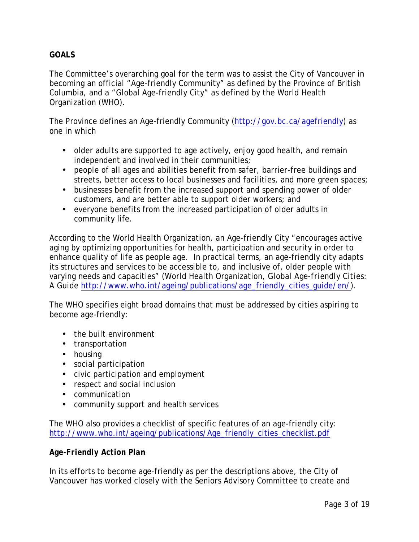# **GOALS**

The Committee's overarching goal for the term was to assist the City of Vancouver in becoming an official "Age-friendly Community" as defined by the Province of British Columbia, and a "Global Age-friendly City" as defined by the World Health Organization (WHO).

The Province defines an Age-friendly Community (http://gov.bc.ca/agefriendly) as one in which

- older adults are supported to age actively, enjoy good health, and remain independent and involved in their communities;
- people of all ages and abilities benefit from safer, barrier-free buildings and streets, better access to local businesses and facilities, and more green spaces;
- businesses benefit from the increased support and spending power of older customers, and are better able to support older workers; and
- everyone benefits from the increased participation of older adults in community life.

According to the World Health Organization, an Age-friendly City "encourages active aging by optimizing opportunities for health, participation and security in order to enhance quality of life as people age. In practical terms, an age-friendly city adapts its structures and services to be accessible to, and inclusive of, older people with varying needs and capacities" (World Health Organization, *Global Age-friendly Cities: A Guide* http://www.who.int/ageing/publications/age\_friendly\_cities\_guide/en/).

The WHO specifies eight broad domains that must be addressed by cities aspiring to become age-friendly:

- the built environment
- transportation
- housing
- social participation
- civic participation and employment
- respect and social inclusion
- communication
- community support and health services

The WHO also provides a checklist of specific features of an age-friendly city: http://www.who.int/ageing/publications/Age\_friendly\_cities\_checklist.pdf

### *Age-Friendly Action Plan*

In its efforts to become age-friendly as per the descriptions above, the City of Vancouver has worked closely with the Seniors Advisory Committee to create and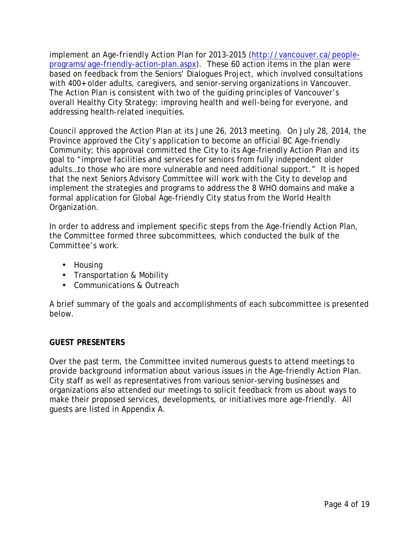implement an *Age-friendly Action Plan* for 2013-2015 (http://vancouver.ca/peopleprograms/age-friendly-action-plan.aspx). These 60 action items in the plan were based on feedback from the Seniors' Dialogues Project, which involved consultations with 400+ older adults, caregivers, and senior-serving organizations in Vancouver. The Action Plan is consistent with two of the guiding principles of Vancouver's overall Healthy City Strategy: improving health and well-being for everyone, and addressing health-related inequities.

Council approved the Action Plan at its June 26, 2013 meeting. On July 28, 2014, the Province approved the City's application to become an official BC Age-friendly Community; this approval committed the City to its Age-friendly Action Plan and its goal to "improve facilities and services for seniors from fully independent older adults…to those who are more vulnerable and need additional support." It is hoped that the next Seniors Advisory Committee will work with the City to develop and implement the strategies and programs to address the 8 WHO domains and make a formal application for Global Age-friendly City status from the World Health Organization.

In order to address and implement specific steps from the Age-friendly Action Plan, the Committee formed three subcommittees, which conducted the bulk of the Committee's work.

- Housing
- Transportation & Mobility
- Communications & Outreach

A brief summary of the goals and accomplishments of each subcommittee is presented below.

### **GUEST PRESENTERS**

Over the past term, the Committee invited numerous guests to attend meetings to provide background information about various issues in the Age-friendly Action Plan. City staff as well as representatives from various senior-serving businesses and organizations also attended our meetings to solicit feedback from us about ways to make their proposed services, developments, or initiatives more age-friendly. All guests are listed in Appendix A.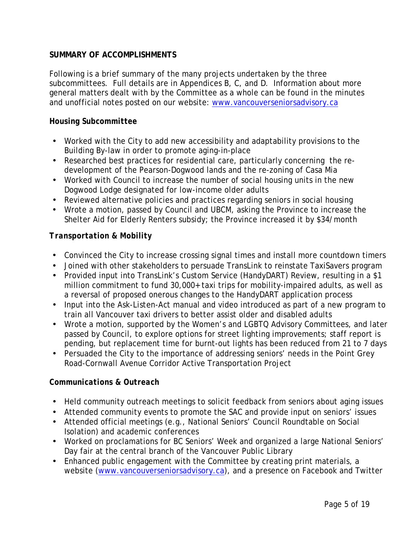# **SUMMARY OF ACCOMPLISHMENTS**

Following is a brief summary of the many projects undertaken by the three subcommittees. Full details are in Appendices B, C, and D. Information about more general matters dealt with by the Committee as a whole can be found in the minutes and unofficial notes posted on our website: www.vancouverseniorsadvisory.ca

### *Housing Subcommittee*

- Worked with the City to add new accessibility and adaptability provisions to the Building By-law in order to promote aging-in-place
- Researched best practices for residential care, particularly concerning the redevelopment of the Pearson-Dogwood lands and the re-zoning of Casa Mia
- Worked with Council to increase the number of social housing units in the new Dogwood Lodge designated for low-income older adults
- Reviewed alternative policies and practices regarding seniors in social housing
- Wrote a motion, passed by Council and UBCM, asking the Province to increase the Shelter Aid for Elderly Renters subsidy; the Province increased it by \$34/month

### *Transportation & Mobility*

- Convinced the City to increase crossing signal times and install more countdown timers
- Joined with other stakeholders to persuade TransLink to reinstate TaxiSavers program
- Provided input into TransLink's Custom Service (HandyDART) Review, resulting in a \$1 million commitment to fund 30,000+ taxi trips for mobility-impaired adults, as well as a reversal of proposed onerous changes to the HandyDART application process
- Input into the *Ask-Listen-Act* manual and video introduced as part of a new program to train all Vancouver taxi drivers to better assist older and disabled adults
- Wrote a motion, supported by the Women's and LGBTQ Advisory Committees, and later passed by Council, to explore options for street lighting improvements; staff report is pending, but replacement time for burnt-out lights has been reduced from 21 to 7 days
- Persuaded the City to the importance of addressing seniors' needs in the Point Grey Road-Cornwall Avenue Corridor Active Transportation Project

### *Communications & Outreach*

- Held community outreach meetings to solicit feedback from seniors about aging issues
- Attended community events to promote the SAC and provide input on seniors' issues
- Attended official meetings (e.g., National Seniors' Council Roundtable on Social Isolation) and academic conferences
- Worked on proclamations for BC Seniors' Week and organized a large National Seniors' Day fair at the central branch of the Vancouver Public Library
- Enhanced public engagement with the Committee by creating print materials, a website (www.vancouverseniorsadvisory.ca), and a presence on Facebook and Twitter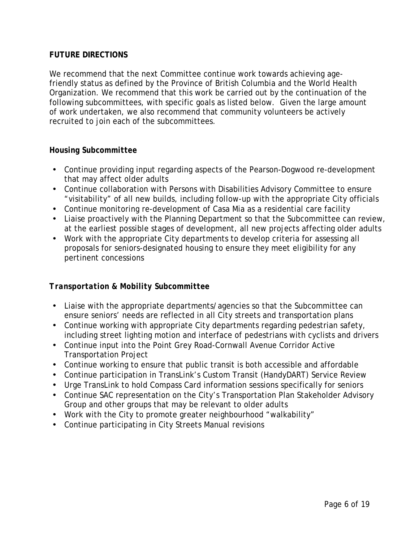# **FUTURE DIRECTIONS**

We recommend that the next Committee continue work towards achieving agefriendly status as defined by the Province of British Columbia and the World Health Organization. We recommend that this work be carried out by the continuation of the following subcommittees, with specific goals as listed below. Given the large amount of work undertaken, we also recommend that community volunteers be actively recruited to join each of the subcommittees.

### *Housing Subcommittee*

- Continue providing input regarding aspects of the Pearson-Dogwood re-development that may affect older adults
- Continue collaboration with Persons with Disabilities Advisory Committee to ensure "visitability" of all new builds, including follow-up with the appropriate City officials
- Continue monitoring re-development of Casa Mia as a residential care facility
- Liaise proactively with the Planning Department so that the Subcommittee can review, at the earliest possible stages of development, all new projects affecting older adults
- Work with the appropriate City departments to develop criteria for assessing all proposals for seniors-designated housing to ensure they meet eligibility for any pertinent concessions

### *Transportation & Mobility Subcommittee*

- Liaise with the appropriate departments/agencies so that the Subcommittee can ensure seniors' needs are reflected in all City streets and transportation plans
- Continue working with appropriate City departments regarding pedestrian safety, including street lighting motion and interface of pedestrians with cyclists and drivers
- Continue input into the Point Grey Road-Cornwall Avenue Corridor Active Transportation Project
- Continue working to ensure that public transit is both accessible and affordable
- Continue participation in TransLink's Custom Transit (HandyDART) Service Review
- Urge TransLink to hold Compass Card information sessions specifically for seniors
- Continue SAC representation on the City's Transportation Plan Stakeholder Advisory Group and other groups that may be relevant to older adults
- Work with the City to promote greater neighbourhood "walkability"
- Continue participating in City Streets Manual revisions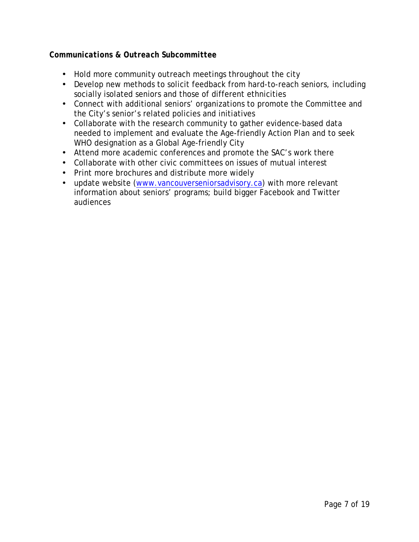# *Communications & Outreach Subcommittee*

- Hold more community outreach meetings throughout the city
- Develop new methods to solicit feedback from hard-to-reach seniors, including socially isolated seniors and those of different ethnicities
- Connect with additional seniors' organizations to promote the Committee and the City's senior's related policies and initiatives
- Collaborate with the research community to gather evidence-based data needed to implement and evaluate the Age-friendly Action Plan and to seek WHO designation as a Global Age-friendly City
- Attend more academic conferences and promote the SAC's work there
- Collaborate with other civic committees on issues of mutual interest
- Print more brochures and distribute more widely
- update website (www.vancouverseniorsadvisory.ca) with more relevant information about seniors' programs; build bigger Facebook and Twitter audiences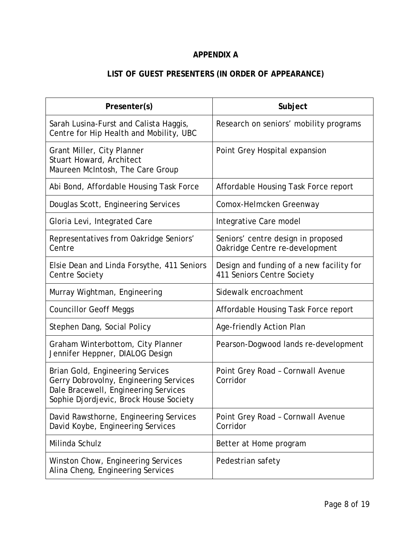# **APPENDIX A**

# **LIST OF GUEST PRESENTERS (IN ORDER OF APPEARANCE)**

| Presenter(s)                                                                                                                                                 | Subject                                                                |  |
|--------------------------------------------------------------------------------------------------------------------------------------------------------------|------------------------------------------------------------------------|--|
| Sarah Lusina-Furst and Calista Haggis,<br>Centre for Hip Health and Mobility, UBC                                                                            | Research on seniors' mobility programs                                 |  |
| Grant Miller, City Planner<br>Stuart Howard, Architect<br>Maureen McIntosh, The Care Group                                                                   | Point Grey Hospital expansion                                          |  |
| Abi Bond, Affordable Housing Task Force                                                                                                                      | Affordable Housing Task Force report                                   |  |
| Douglas Scott, Engineering Services                                                                                                                          | Comox-Helmcken Greenway                                                |  |
| Gloria Levi, Integrated Care                                                                                                                                 | Integrative Care model                                                 |  |
| Representatives from Oakridge Seniors'<br>Centre                                                                                                             | Seniors' centre design in proposed<br>Oakridge Centre re-development   |  |
| Elsie Dean and Linda Forsythe, 411 Seniors<br>Centre Society                                                                                                 | Design and funding of a new facility for<br>411 Seniors Centre Society |  |
| Murray Wightman, Engineering                                                                                                                                 | Sidewalk encroachment                                                  |  |
| <b>Councillor Geoff Meggs</b>                                                                                                                                | Affordable Housing Task Force report                                   |  |
| Stephen Dang, Social Policy                                                                                                                                  | Age-friendly Action Plan                                               |  |
| Graham Winterbottom, City Planner<br>Jennifer Heppner, DIALOG Design                                                                                         | Pearson-Dogwood lands re-development                                   |  |
| Brian Gold, Engineering Services<br>Gerry Dobrovolny, Engineering Services<br>Dale Bracewell, Engineering Services<br>Sophie Djordjevic, Brock House Society | Point Grey Road - Cornwall Avenue<br>Corridor                          |  |
| David Rawsthorne, Engineering Services<br>David Koybe, Engineering Services                                                                                  | Point Grey Road - Cornwall Avenue<br>Corridor                          |  |
| Milinda Schulz                                                                                                                                               | Better at Home program                                                 |  |
| Winston Chow, Engineering Services<br>Alina Cheng, Engineering Services                                                                                      | Pedestrian safety                                                      |  |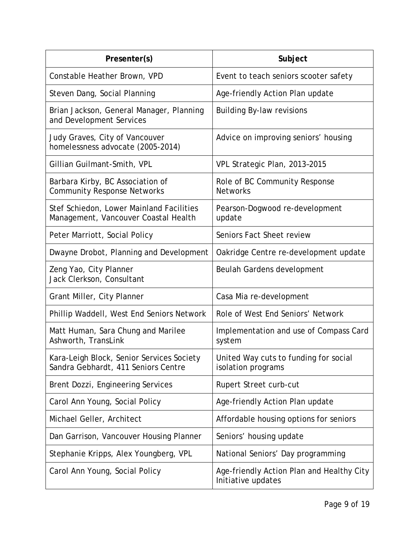| Presenter(s)                                                                     | Subject                                                         |  |
|----------------------------------------------------------------------------------|-----------------------------------------------------------------|--|
| Constable Heather Brown, VPD                                                     | Event to teach seniors scooter safety                           |  |
| Steven Dang, Social Planning                                                     | Age-friendly Action Plan update                                 |  |
| Brian Jackson, General Manager, Planning<br>and Development Services             | <b>Building By-law revisions</b>                                |  |
| Judy Graves, City of Vancouver<br>homelessness advocate (2005-2014)              | Advice on improving seniors' housing                            |  |
| Gillian Guilmant-Smith, VPL                                                      | VPL Strategic Plan, 2013-2015                                   |  |
| Barbara Kirby, BC Association of<br><b>Community Response Networks</b>           | Role of BC Community Response<br><b>Networks</b>                |  |
| Stef Schiedon, Lower Mainland Facilities<br>Management, Vancouver Coastal Health | Pearson-Dogwood re-development<br>update                        |  |
| Peter Marriott, Social Policy                                                    | Seniors Fact Sheet review                                       |  |
| Dwayne Drobot, Planning and Development                                          | Oakridge Centre re-development update                           |  |
| Zeng Yao, City Planner<br>Jack Clerkson, Consultant                              | Beulah Gardens development                                      |  |
| Grant Miller, City Planner                                                       | Casa Mia re-development                                         |  |
| Phillip Waddell, West End Seniors Network                                        | Role of West End Seniors' Network                               |  |
| Matt Human, Sara Chung and Marilee<br>Ashworth, TransLink                        | Implementation and use of Compass Card<br>system                |  |
| Kara-Leigh Block, Senior Services Society<br>Sandra Gebhardt, 411 Seniors Centre | United Way cuts to funding for social<br>isolation programs     |  |
| Brent Dozzi, Engineering Services                                                | Rupert Street curb-cut                                          |  |
| Carol Ann Young, Social Policy                                                   | Age-friendly Action Plan update                                 |  |
| Michael Geller, Architect                                                        | Affordable housing options for seniors                          |  |
| Dan Garrison, Vancouver Housing Planner                                          | Seniors' housing update                                         |  |
| Stephanie Kripps, Alex Youngberg, VPL                                            | National Seniors' Day programming                               |  |
| Carol Ann Young, Social Policy                                                   | Age-friendly Action Plan and Healthy City<br>Initiative updates |  |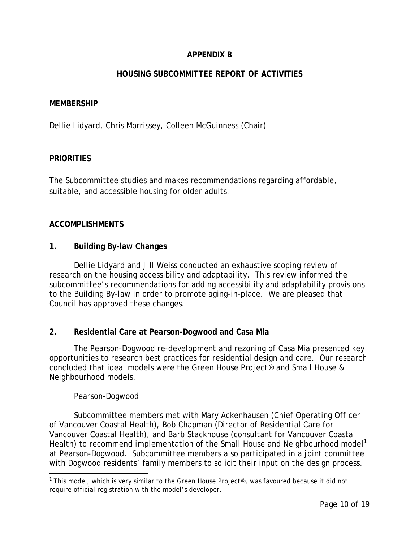# **APPENDIX B**

# **HOUSING SUBCOMMITTEE REPORT OF ACTIVITIES**

#### **MEMBERSHIP**

Dellie Lidyard, Chris Morrissey, Colleen McGuinness (Chair)

### **PRIORITIES**

The Subcommittee studies and makes recommendations regarding affordable, suitable, and accessible housing for older adults.

### **ACCOMPLISHMENTS**

**1. Building By-law Changes**

Dellie Lidyard and Jill Weiss conducted an exhaustive scoping review of research on the housing accessibility and adaptability. This review informed the subcommittee's recommendations for adding accessibility and adaptability provisions to the Building By-law in order to promote aging-in-place. We are pleased that Council has approved these changes.

### **2. Residential Care at Pearson-Dogwood and Casa Mia**

The Pearson-Dogwood re-development and rezoning of Casa Mia presented key opportunities to research best practices for residential design and care. Our research concluded that ideal models were the Green House Project® and Small House & Neighbourhood models.

#### *Pearson-Dogwood*

Subcommittee members met with Mary Ackenhausen (Chief Operating Officer of Vancouver Coastal Health), Bob Chapman (Director of Residential Care for Vancouver Coastal Health), and Barb Stackhouse (consultant for Vancouver Coastal Health) to recommend implementation of the Small House and Neighbourhood model<sup>1</sup> at Pearson-Dogwood. Subcommittee members also participated in a joint committee with Dogwood residents' family members to solicit their input on the design process.

<sup>&</sup>lt;sup>1</sup> This model, which is very similar to the Green House Project®, was favoured because it did not require official registration with the model's developer.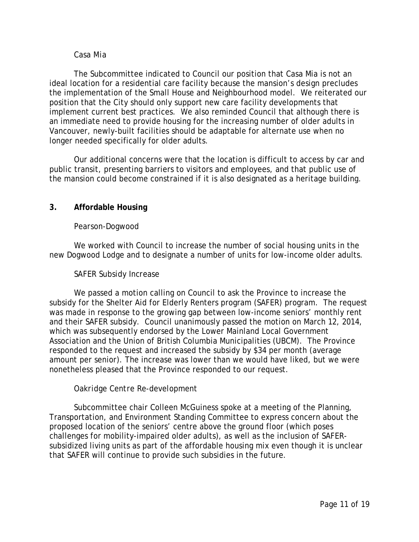#### *Casa Mia*

The Subcommittee indicated to Council our position that Casa Mia is not an ideal location for a residential care facility because the mansion's design precludes the implementation of the Small House and Neighbourhood model. We reiterated our position that the City should only support new care facility developments that implement current best practices. We also reminded Council that although there is an immediate need to provide housing for the increasing number of older adults in Vancouver, newly-built facilities should be adaptable for alternate use when no longer needed specifically for older adults.

Our additional concerns were that the location is difficult to access by car and public transit, presenting barriers to visitors and employees, and that public use of the mansion could become constrained if it is also designated as a heritage building.

### **3. Affordable Housing**

#### *Pearson-Dogwood*

We worked with Council to increase the number of social housing units in the new Dogwood Lodge and to designate a number of units for low-income older adults.

#### *SAFER Subsidy Increase*

We passed a motion calling on Council to ask the Province to increase the subsidy for the Shelter Aid for Elderly Renters program (SAFER) program. The request was made in response to the growing gap between low-income seniors' monthly rent and their SAFER subsidy. Council unanimously passed the motion on March 12, 2014, which was subsequently endorsed by the Lower Mainland Local Government Association and the Union of British Columbia Municipalities (UBCM). The Province responded to the request and increased the subsidy by \$34 per month (average amount per senior). The increase was lower than we would have liked, but we were nonetheless pleased that the Province responded to our request.

#### *Oakridge Centre Re-development*

Subcommittee chair Colleen McGuiness spoke at a meeting of the Planning, Transportation, and Environment Standing Committee to express concern about the proposed location of the seniors' centre above the ground floor (which poses challenges for mobility-impaired older adults), as well as the inclusion of SAFERsubsidized living units as part of the affordable housing mix even though it is unclear that SAFER will continue to provide such subsidies in the future.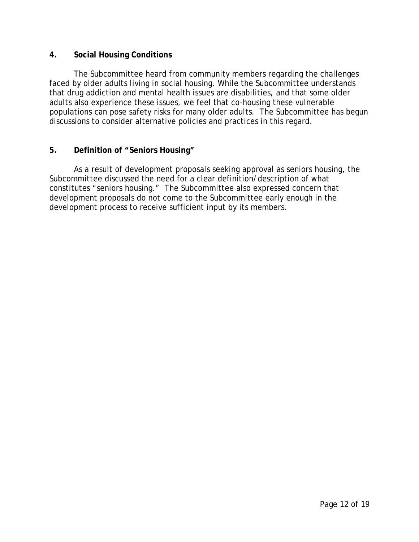## **4. Social Housing Conditions**

The Subcommittee heard from community members regarding the challenges faced by older adults living in social housing. While the Subcommittee understands that drug addiction and mental health issues are disabilities, and that some older adults also experience these issues, we feel that co-housing these vulnerable populations can pose safety risks for many older adults. The Subcommittee has begun discussions to consider alternative policies and practices in this regard.

## **5. Definition of "Seniors Housing"**

As a result of development proposals seeking approval as seniors housing, the Subcommittee discussed the need for a clear definition/description of what constitutes "seniors housing." The Subcommittee also expressed concern that development proposals do not come to the Subcommittee early enough in the development process to receive sufficient input by its members.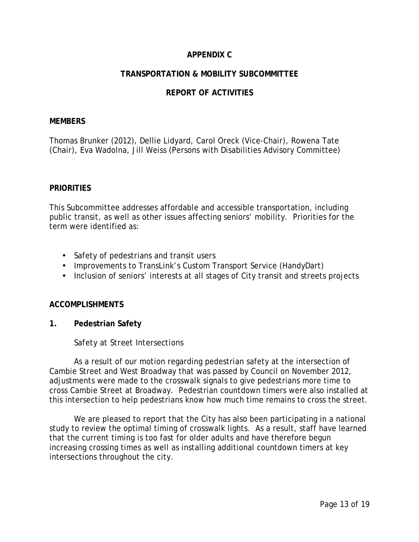# **APPENDIX C**

## **TRANSPORTATION & MOBILITY SUBCOMMITTEE**

## **REPORT OF ACTIVITIES**

#### **MEMBERS**

Thomas Brunker (2012), Dellie Lidyard, Carol Oreck (Vice-Chair), Rowena Tate (Chair), Eva Wadolna, Jill Weiss (Persons with Disabilities Advisory Committee)

#### **PRIORITIES**

This Subcommittee addresses affordable and accessible transportation, including public transit, as well as other issues affecting seniors' mobility. Priorities for the term were identified as:

- Safety of pedestrians and transit users
- Improvements to TransLink's Custom Transport Service (HandyDart)
- Inclusion of seniors' interests at all stages of City transit and streets projects

### **ACCOMPLISHMENTS**

**1. Pedestrian Safety**

*Safety at Street Intersections*

As a result of our motion regarding pedestrian safety at the intersection of Cambie Street and West Broadway that was passed by Council on November 2012, adjustments were made to the crosswalk signals to give pedestrians more time to cross Cambie Street at Broadway. Pedestrian countdown timers were also installed at this intersection to help pedestrians know how much time remains to cross the street.

We are pleased to report that the City has also been participating in a national study to review the optimal timing of crosswalk lights. As a result, staff have learned that the current timing is too fast for older adults and have therefore begun increasing crossing times as well as installing additional countdown timers at key intersections throughout the city.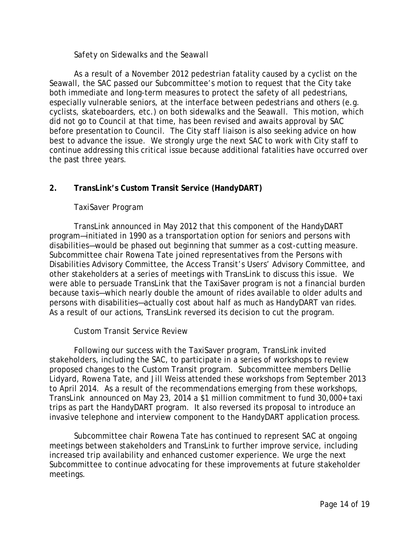### *Safety on Sidewalks and the Seawall*

As a result of a November 2012 pedestrian fatality caused by a cyclist on the Seawall, the SAC passed our Subcommittee's motion to request that the City take both immediate and long-term measures to protect the safety of all pedestrians, especially vulnerable seniors, at the interface between pedestrians and others (e.g. cyclists, skateboarders, etc.) on both sidewalks and the Seawall. This motion, which did not go to Council at that time, has been revised and awaits approval by SAC before presentation to Council. The City staff liaison is also seeking advice on how best to advance the issue. We strongly urge the next SAC to work with City staff to continue addressing this critical issue because additional fatalities have occurred over the past three years.

## **2. TransLink's Custom Transit Service (HandyDART)**

### *TaxiSaver Program*

TransLink announced in May 2012 that this component of the HandyDART program—initiated in 1990 as a transportation option for seniors and persons with disabilities—would be phased out beginning that summer as a cost-cutting measure. Subcommittee chair Rowena Tate joined representatives from the Persons with Disabilities Advisory Committee, the Access Transit's Users' Advisory Committee, and other stakeholders at a series of meetings with TransLink to discuss this issue. We were able to persuade TransLink that the TaxiSaver program is not a financial burden because taxis—which nearly double the amount of rides available to older adults and persons with disabilities—actually cost about half as much as HandyDART van rides. As a result of our actions, TransLink reversed its decision to cut the program.

### *Custom Transit Service Review*

Following our success with the TaxiSaver program, TransLink invited stakeholders, including the SAC, to participate in a series of workshops to review proposed changes to the Custom Transit program. Subcommittee members Dellie Lidyard, Rowena Tate, and Jill Weiss attended these workshops from September 2013 to April 2014. As a result of the recommendations emerging from these workshops, TransLink announced on May 23, 2014 a \$1 million commitment to fund 30,000+ taxi trips as part the HandyDART program. It also reversed its proposal to introduce an invasive telephone and interview component to the HandyDART application process.

Subcommittee chair Rowena Tate has continued to represent SAC at ongoing meetings between stakeholders and TransLink to further improve service, including increased trip availability and enhanced customer experience. We urge the next Subcommittee to continue advocating for these improvements at future stakeholder meetings.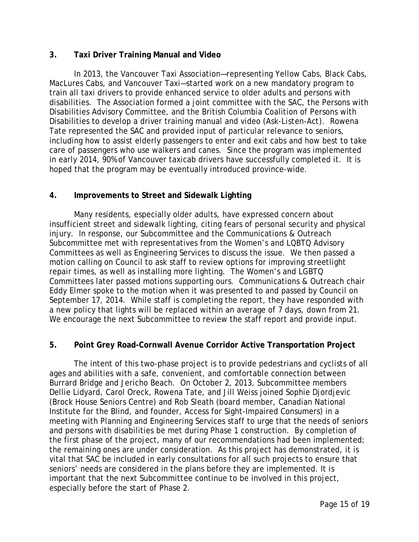## **3. Taxi Driver Training Manual and Video**

In 2013, the Vancouver Taxi Association—representing Yellow Cabs, Black Cabs, MacLures Cabs, and Vancouver Taxi—started work on a new mandatory program to train all taxi drivers to provide enhanced service to older adults and persons with disabilities. The Association formed a joint committee with the SAC, the Persons with Disabilities Advisory Committee, and the British Columbia Coalition of Persons with Disabilities to develop a driver training manual and video (*Ask-Listen-Act*). Rowena Tate represented the SAC and provided input of particular relevance to seniors, including how to assist elderly passengers to enter and exit cabs and how best to take care of passengers who use walkers and canes. Since the program was implemented in early 2014, 90% of Vancouver taxicab drivers have successfully completed it. It is hoped that the program may be eventually introduced province-wide.

## **4. Improvements to Street and Sidewalk Lighting**

Many residents, especially older adults, have expressed concern about insufficient street and sidewalk lighting, citing fears of personal security and physical injury. In response, our Subcommittee and the Communications & Outreach Subcommittee met with representatives from the Women's and LQBTQ Advisory Committees as well as Engineering Services to discuss the issue. We then passed a motion calling on Council to ask staff to review options for improving streetlight repair times, as well as installing more lighting. The Women's and LGBTQ Committees later passed motions supporting ours. Communications & Outreach chair Eddy Elmer spoke to the motion when it was presented to and passed by Council on September 17, 2014. While staff is completing the report, they have responded with a new policy that lights will be replaced within an average of 7 days, down from 21. We encourage the next Subcommittee to review the staff report and provide input.

# **5. Point Grey Road-Cornwall Avenue Corridor Active Transportation Project**

The intent of this two-phase project is to provide pedestrians and cyclists of all ages and abilities with a safe, convenient, and comfortable connection between Burrard Bridge and Jericho Beach. On October 2, 2013, Subcommittee members Dellie Lidyard, Carol Oreck, Rowena Tate, and Jill Weiss joined Sophie Djordjevic (Brock House Seniors Centre) and Rob Sleath (board member, Canadian National Institute for the Blind, and founder, Access for Sight-Impaired Consumers) in a meeting with Planning and Engineering Services staff to urge that the needs of seniors and persons with disabilities be met during Phase 1 construction. By completion of the first phase of the project, many of our recommendations had been implemented; the remaining ones are under consideration. As this project has demonstrated, it is vital that SAC be included in early consultations for all such projects to ensure that seniors' needs are considered in the plans before they are implemented. It is important that the next Subcommittee continue to be involved in this project, especially before the start of Phase 2.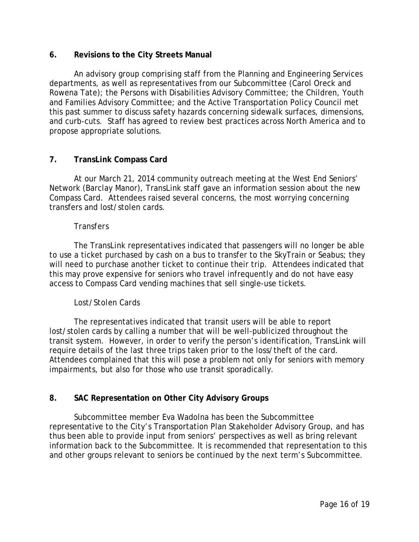## **6. Revisions to the City Streets Manual**

An advisory group comprising staff from the Planning and Engineering Services departments, as well as representatives from our Subcommittee (Carol Oreck and Rowena Tate); the Persons with Disabilities Advisory Committee; the Children, Youth and Families Advisory Committee; and the Active Transportation Policy Council met this past summer to discuss safety hazards concerning sidewalk surfaces, dimensions, and curb-cuts. Staff has agreed to review best practices across North America and to propose appropriate solutions.

## **7. TransLink Compass Card**

At our March 21, 2014 community outreach meeting at the West End Seniors' Network (Barclay Manor), TransLink staff gave an information session about the new Compass Card. Attendees raised several concerns, the most worrying concerning transfers and lost/stolen cards.

#### *Transfers*

The TransLink representatives indicated that passengers will no longer be able to use a ticket purchased by cash on a bus to transfer to the SkyTrain or Seabus; they will need to purchase another ticket to continue their trip. Attendees indicated that this may prove expensive for seniors who travel infrequently and do not have easy access to Compass Card vending machines that sell single-use tickets.

### *Lost/Stolen Cards*

The representatives indicated that transit users will be able to report lost/stolen cards by calling a number that will be well-publicized throughout the transit system. However, in order to verify the person's identification, TransLink will require details of the last three trips taken prior to the loss/theft of the card. Attendees complained that this will pose a problem not only for seniors with memory impairments, but also for those who use transit sporadically.

# **8. SAC Representation on Other City Advisory Groups**

Subcommittee member Eva Wadolna has been the Subcommittee representative to the City's Transportation Plan Stakeholder Advisory Group, and has thus been able to provide input from seniors' perspectives as well as bring relevant information back to the Subcommittee. It is recommended that representation to this and other groups relevant to seniors be continued by the next term's Subcommittee.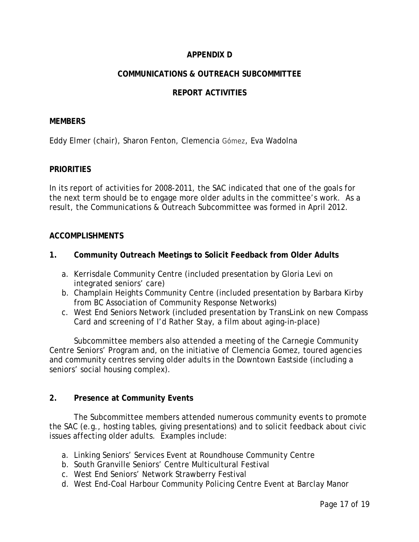# **APPENDIX D**

# **COMMUNICATIONS & OUTREACH SUBCOMMITTEE**

## **REPORT ACTIVITIES**

#### **MEMBERS**

Eddy Elmer (chair), Sharon Fenton, Clemencia Gómez, Eva Wadolna

#### **PRIORITIES**

In its report of activities for 2008-2011, the SAC indicated that one of the goals for the next term should be to engage more older adults in the committee's work. As a result, the Communications & Outreach Subcommittee was formed in April 2012.

#### **ACCOMPLISHMENTS**

- **1. Community Outreach Meetings to Solicit Feedback from Older Adults**
	- a. Kerrisdale Community Centre (included presentation by Gloria Levi on integrated seniors' care)
	- b. Champlain Heights Community Centre (included presentation by Barbara Kirby from BC Association of Community Response Networks)
	- c. West End Seniors Network (included presentation by TransLink on new Compass Card and screening of *I'd Rather Stay,* a film about aging-in-place)

Subcommittee members also attended a meeting of the Carnegie Community Centre Seniors' Program and, on the initiative of Clemencia Gomez, toured agencies and community centres serving older adults in the Downtown Eastside (including a seniors' social housing complex).

#### **2. Presence at Community Events**

The Subcommittee members attended numerous community events to promote the SAC (e.g., hosting tables, giving presentations) and to solicit feedback about civic issues affecting older adults. Examples include:

- a. Linking Seniors' Services Event at Roundhouse Community Centre
- b. South Granville Seniors' Centre Multicultural Festival
- c. West End Seniors' Network Strawberry Festival
- d. West End-Coal Harbour Community Policing Centre Event at Barclay Manor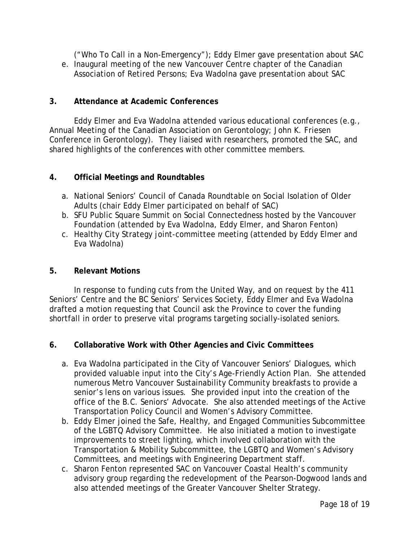("Who To Call in a Non-Emergency"); Eddy Elmer gave presentation about SAC

e. Inaugural meeting of the new Vancouver Centre chapter of the Canadian Association of Retired Persons; Eva Wadolna gave presentation about SAC

# **3. Attendance at Academic Conferences**

Eddy Elmer and Eva Wadolna attended various educational conferences (e.g., Annual Meeting of the Canadian Association on Gerontology; John K. Friesen Conference in Gerontology). They liaised with researchers, promoted the SAC, and shared highlights of the conferences with other committee members.

## **4. Official Meetings and Roundtables**

- a. National Seniors' Council of Canada Roundtable on Social Isolation of Older Adults (chair Eddy Elmer participated on behalf of SAC)
- b. SFU Public Square Summit on Social Connectedness hosted by the Vancouver Foundation (attended by Eva Wadolna, Eddy Elmer, and Sharon Fenton)
- c. Healthy City Strategy joint-committee meeting (attended by Eddy Elmer and Eva Wadolna)

## **5. Relevant Motions**

In response to funding cuts from the United Way, and on request by the 411 Seniors' Centre and the BC Seniors' Services Society, Eddy Elmer and Eva Wadolna drafted a motion requesting that Council ask the Province to cover the funding shortfall in order to preserve vital programs targeting socially-isolated seniors.

- **6. Collaborative Work with Other Agencies and Civic Committees**
	- a. Eva Wadolna participated in the City of Vancouver Seniors' Dialogues, which provided valuable input into the City's Age-Friendly Action Plan. She attended numerous Metro Vancouver Sustainability Community breakfasts to provide a senior's lens on various issues. She provided input into the creation of the office of the B.C. Seniors' Advocate. She also attended meetings of the Active Transportation Policy Council and Women's Advisory Committee.
	- b. Eddy Elmer joined the Safe, Healthy, and Engaged Communities Subcommittee of the LGBTQ Advisory Committee. He also initiated a motion to investigate improvements to street lighting, which involved collaboration with the Transportation & Mobility Subcommittee, the LGBTQ and Women's Advisory Committees, and meetings with Engineering Department staff.
	- c. Sharon Fenton represented SAC on Vancouver Coastal Health's community advisory group regarding the redevelopment of the Pearson-Dogwood lands and also attended meetings of the Greater Vancouver Shelter Strategy.